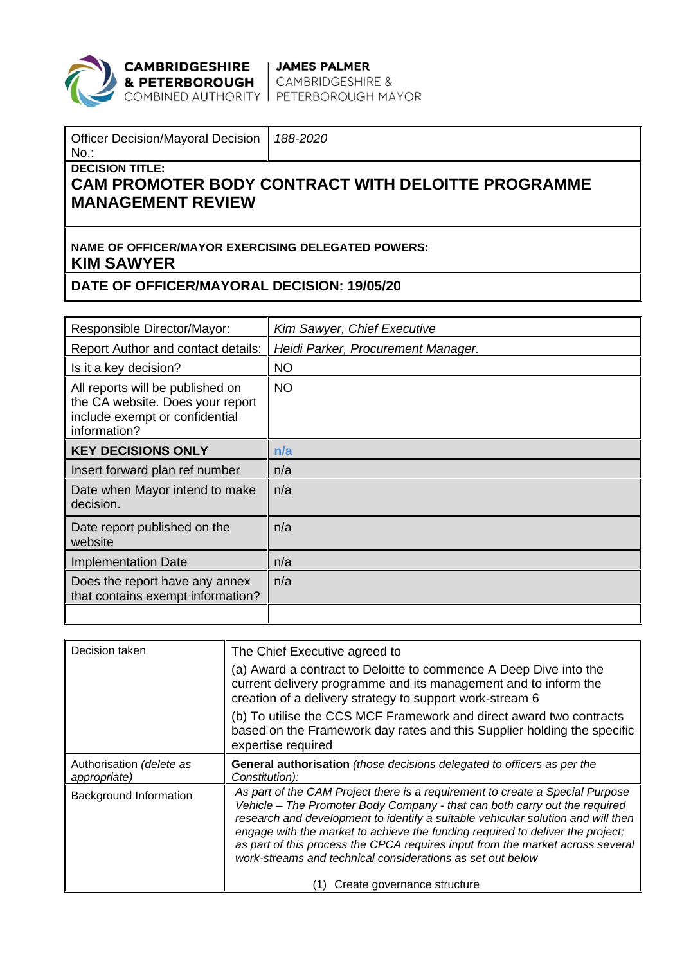

**CAMBRIDGESHIRE** JAMES PALMER<br>**& PETERBOROUGH** CAMBRIDGESHIRE &<br>COMBINED AUTHORITY PETERBOROUGH MAYOR

| Officer Decision/Mayoral Decision   188-2020<br>$No.$ :                                                           |  |  |  |
|-------------------------------------------------------------------------------------------------------------------|--|--|--|
| <b>DECISION TITLE:</b><br><b>CAM PROMOTER BODY CONTRACT WITH DELOITTE PROGRAMME</b><br><b>I MANAGEMENT REVIEW</b> |  |  |  |

## **NAME OF OFFICER/MAYOR EXERCISING DELEGATED POWERS: KIM SAWYER**

## **DATE OF OFFICER/MAYORAL DECISION: 19/05/20**

| Responsible Director/Mayor:                                                                                            | Kim Sawyer, Chief Executive        |
|------------------------------------------------------------------------------------------------------------------------|------------------------------------|
| Report Author and contact details:                                                                                     | Heidi Parker, Procurement Manager. |
| Is it a key decision?                                                                                                  | <b>NO</b>                          |
| All reports will be published on<br>the CA website. Does your report<br>include exempt or confidential<br>information? | <b>NO</b>                          |
| <b>KEY DECISIONS ONLY</b>                                                                                              | n/a                                |
| Insert forward plan ref number                                                                                         | n/a                                |
| Date when Mayor intend to make<br>decision.                                                                            | n/a                                |
| Date report published on the<br>website                                                                                | n/a                                |
| <b>Implementation Date</b>                                                                                             | n/a                                |
| Does the report have any annex<br>that contains exempt information?                                                    | n/a                                |
|                                                                                                                        |                                    |

| Decision taken                           | The Chief Executive agreed to                                                                                                                                                                                                                                                                                                                                                                                                                                                     |
|------------------------------------------|-----------------------------------------------------------------------------------------------------------------------------------------------------------------------------------------------------------------------------------------------------------------------------------------------------------------------------------------------------------------------------------------------------------------------------------------------------------------------------------|
|                                          | (a) Award a contract to Deloitte to commence A Deep Dive into the<br>current delivery programme and its management and to inform the<br>creation of a delivery strategy to support work-stream 6                                                                                                                                                                                                                                                                                  |
|                                          | (b) To utilise the CCS MCF Framework and direct award two contracts<br>based on the Framework day rates and this Supplier holding the specific<br>expertise required                                                                                                                                                                                                                                                                                                              |
| Authorisation (delete as<br>appropriate) | General authorisation (those decisions delegated to officers as per the<br>Constitution):                                                                                                                                                                                                                                                                                                                                                                                         |
| Background Information                   | As part of the CAM Project there is a requirement to create a Special Purpose<br>Vehicle - The Promoter Body Company - that can both carry out the required<br>research and development to identify a suitable vehicular solution and will then<br>engage with the market to achieve the funding required to deliver the project;<br>as part of this process the CPCA requires input from the market across several<br>work-streams and technical considerations as set out below |
|                                          | Create governance structure                                                                                                                                                                                                                                                                                                                                                                                                                                                       |